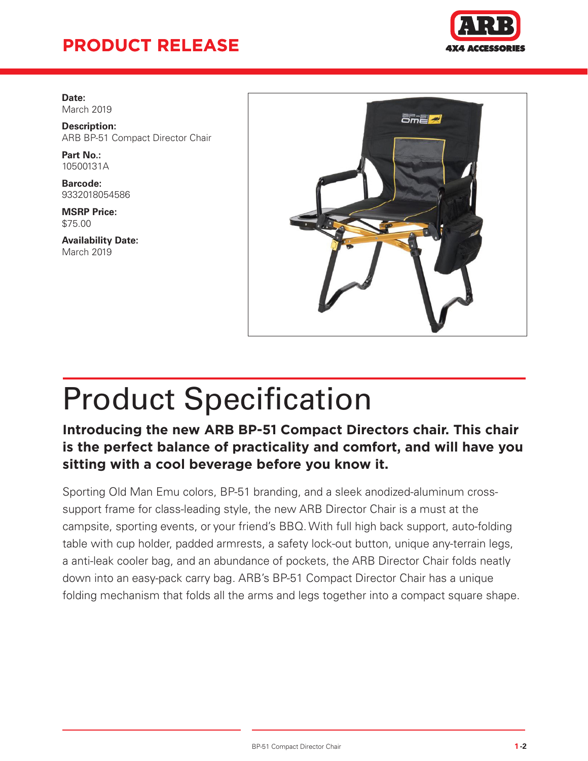## **PRODUCT RELEASE**



**Date:** March 2019

**Description:** ARB BP-51 Compact Director Chair

**Part No.:** 10500131A

**Barcode:** 9332018054586

**MSRP Price:** \$75.00

**Availability Date:** March 2019



# Product Specification

#### **Introducing the new ARB BP-51 Compact Directors chair. This chair is the perfect balance of practicality and comfort, and will have you sitting with a cool beverage before you know it.**

Sporting Old Man Emu colors, BP-51 branding, and a sleek anodized-aluminum crosssupport frame for class-leading style, the new ARB Director Chair is a must at the campsite, sporting events, or your friend's BBQ. With full high back support, auto-folding table with cup holder, padded armrests, a safety lock-out button, unique any-terrain legs, a anti-leak cooler bag, and an abundance of pockets, the ARB Director Chair folds neatly down into an easy-pack carry bag. ARB's BP-51 Compact Director Chair has a unique folding mechanism that folds all the arms and legs together into a compact square shape.